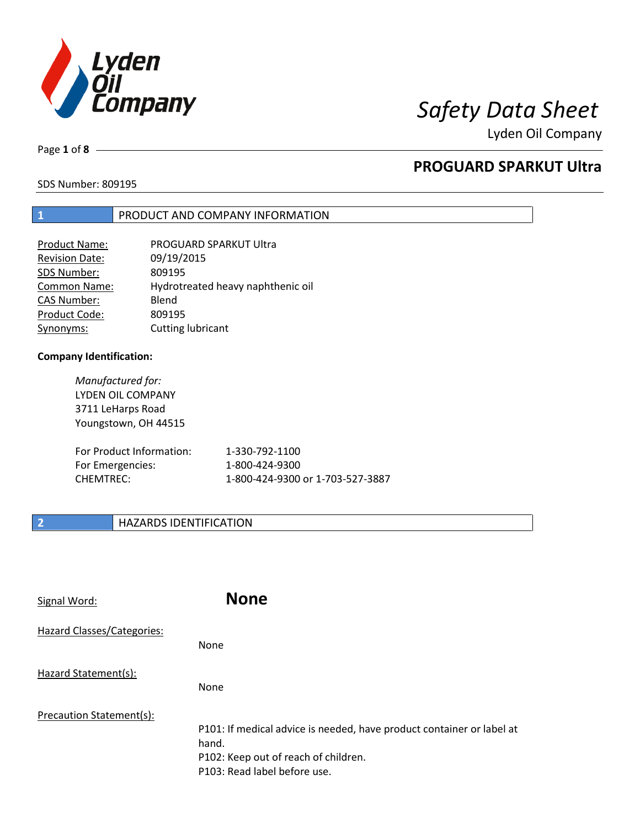

Page **1** of **8**

# **PROGUARD SPARKUT Ultra**

SDS Number: 809195

### **1** PRODUCT AND COMPANY INFORMATION

| PROGUARD SPARKUT Ultra            |
|-----------------------------------|
| 09/19/2015                        |
| 809195                            |
| Hydrotreated heavy naphthenic oil |
| Blend                             |
| 809195                            |
| Cutting lubricant                 |
|                                   |

### **Company Identification:**

*Manufactured for:* LYDEN OIL COMPANY 3711 LeHarps Road Youngstown, OH 44515

| For Product Information: | 1-330-792-1100                   |
|--------------------------|----------------------------------|
| For Emergencies:         | 1-800-424-9300                   |
| CHEMTREC:                | 1-800-424-9300 or 1-703-527-3887 |

### **2 HAZARDS IDENTIFICATION**

| Signal Word:               | <b>None</b>                                                                                                                                            |
|----------------------------|--------------------------------------------------------------------------------------------------------------------------------------------------------|
| Hazard Classes/Categories: | None                                                                                                                                                   |
| Hazard Statement(s):       | <b>None</b>                                                                                                                                            |
| Precaution Statement(s):   | P101: If medical advice is needed, have product container or label at<br>hand.<br>P102: Keep out of reach of children.<br>P103: Read label before use. |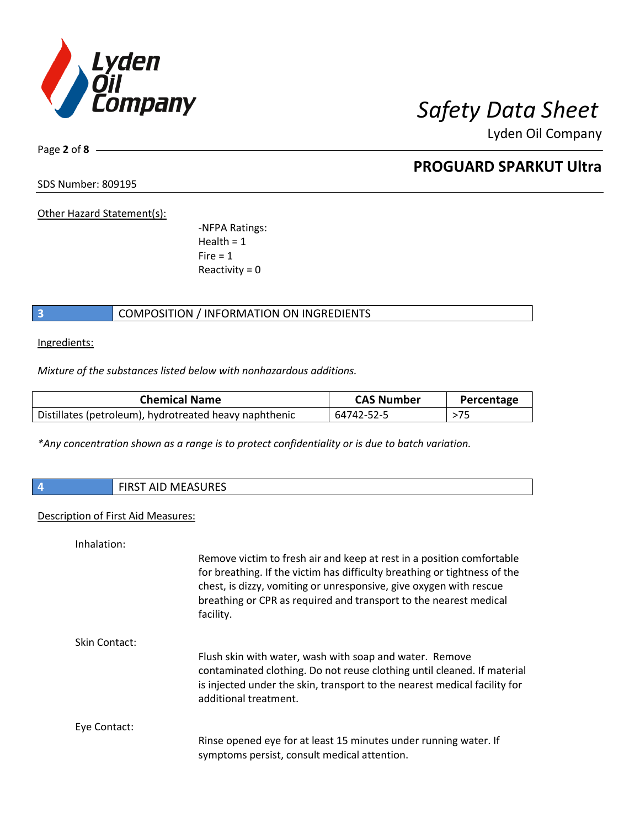

Page **2** of **8**

## **PROGUARD SPARKUT Ultra**

SDS Number: 809195

Other Hazard Statement(s):

-NFPA Ratings:  $Health = 1$  $Fire = 1$ Reactivity  $= 0$ 

### **3** COMPOSITION / INFORMATION ON INGREDIENTS

Ingredients:

*Mixture of the substances listed below with nonhazardous additions.*

| <b>Chemical Name</b>                                   | <b>CAS Number</b> | Percentage |
|--------------------------------------------------------|-------------------|------------|
| Distillates (petroleum), hydrotreated heavy naphthenic | 64742-52-5        | >75        |

*\*Any concentration shown as a range is to protect confidentiality or is due to batch variation.*

| 74 | $\blacksquare$<br>w<br>AID IVIEASUNES |
|----|---------------------------------------|
|    |                                       |

### Description of First Aid Measures:

| Inhalation:   |                                                                                                                                                                                                                                                                                                            |
|---------------|------------------------------------------------------------------------------------------------------------------------------------------------------------------------------------------------------------------------------------------------------------------------------------------------------------|
|               | Remove victim to fresh air and keep at rest in a position comfortable<br>for breathing. If the victim has difficulty breathing or tightness of the<br>chest, is dizzy, vomiting or unresponsive, give oxygen with rescue<br>breathing or CPR as required and transport to the nearest medical<br>facility. |
| Skin Contact: |                                                                                                                                                                                                                                                                                                            |
|               | Flush skin with water, wash with soap and water. Remove<br>contaminated clothing. Do not reuse clothing until cleaned. If material<br>is injected under the skin, transport to the nearest medical facility for<br>additional treatment.                                                                   |
| Eye Contact:  |                                                                                                                                                                                                                                                                                                            |
|               | Rinse opened eye for at least 15 minutes under running water. If<br>symptoms persist, consult medical attention.                                                                                                                                                                                           |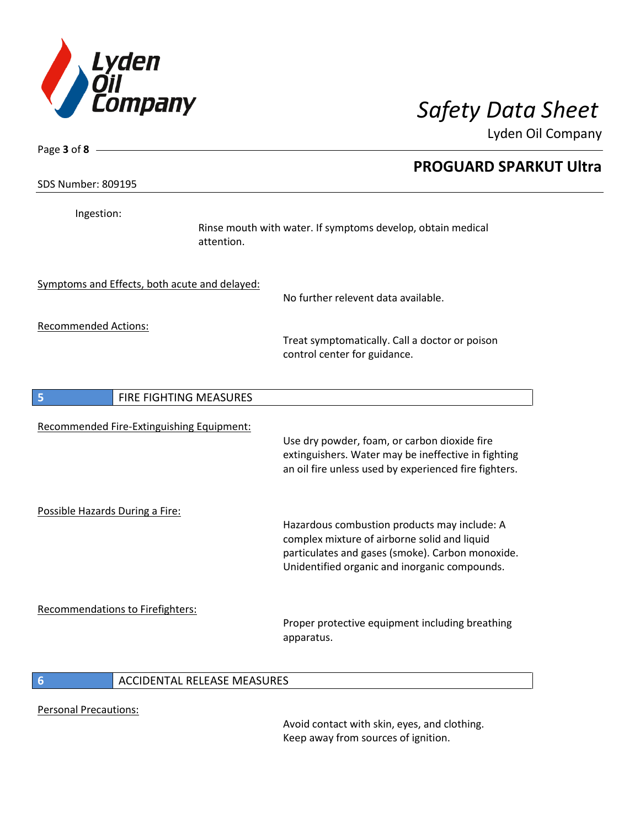

| Page 3 of 8 -                                 | <b>PROGUARD SPARKUT Ultra</b>                                                                                                                                                                     |
|-----------------------------------------------|---------------------------------------------------------------------------------------------------------------------------------------------------------------------------------------------------|
| <b>SDS Number: 809195</b>                     |                                                                                                                                                                                                   |
| Ingestion:<br>attention.                      | Rinse mouth with water. If symptoms develop, obtain medical                                                                                                                                       |
| Symptoms and Effects, both acute and delayed: | No further relevent data available.                                                                                                                                                               |
| <b>Recommended Actions:</b>                   | Treat symptomatically. Call a doctor or poison<br>control center for guidance.                                                                                                                    |
| 5<br>FIRE FIGHTING MEASURES                   |                                                                                                                                                                                                   |
| Recommended Fire-Extinguishing Equipment:     | Use dry powder, foam, or carbon dioxide fire<br>extinguishers. Water may be ineffective in fighting<br>an oil fire unless used by experienced fire fighters.                                      |
| Possible Hazards During a Fire:               | Hazardous combustion products may include: A<br>complex mixture of airborne solid and liquid<br>particulates and gases (smoke). Carbon monoxide.<br>Unidentified organic and inorganic compounds. |
| <b>Recommendations to Firefighters:</b>       | Proper protective equipment including breathing<br>apparatus.                                                                                                                                     |
| <b>ACCIDENTAL RELEASE MEASURES</b><br>6       |                                                                                                                                                                                                   |

Personal Precautions:

Avoid contact with skin, eyes, and clothing. Keep away from sources of ignition.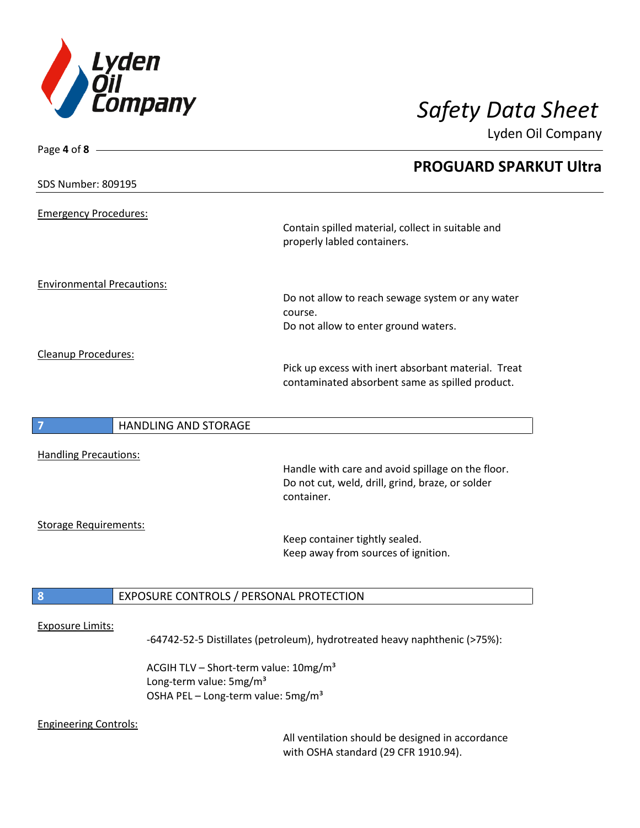

| Page 4 of 8 $\_\_\_\_\$           | <b>PROGUARD SPARKUT Ultra</b>                                                                                       |
|-----------------------------------|---------------------------------------------------------------------------------------------------------------------|
| <b>SDS Number: 809195</b>         |                                                                                                                     |
| <b>Emergency Procedures:</b>      |                                                                                                                     |
|                                   | Contain spilled material, collect in suitable and<br>properly labled containers.                                    |
| <b>Environmental Precautions:</b> |                                                                                                                     |
|                                   | Do not allow to reach sewage system or any water<br>course.                                                         |
|                                   | Do not allow to enter ground waters.                                                                                |
| Cleanup Procedures:               | Pick up excess with inert absorbant material. Treat<br>contaminated absorbent same as spilled product.              |
|                                   |                                                                                                                     |
| <b>HANDLING AND STORAGE</b>       |                                                                                                                     |
| <b>Handling Precautions:</b>      |                                                                                                                     |
|                                   | Handle with care and avoid spillage on the floor.<br>Do not cut, weld, drill, grind, braze, or solder<br>container. |
| <b>Storage Requirements:</b>      |                                                                                                                     |
|                                   | Keep container tightly sealed.<br>Keep away from sources of ignition.                                               |
| $\mathbf{8}$                      | EXPOSURE CONTROLS / PERSONAL PROTECTION                                                                             |
| <b>Exposure Limits:</b>           |                                                                                                                     |
|                                   | -64742-52-5 Distillates (petroleum), hydrotreated heavy naphthenic (>75%):                                          |
|                                   | ACGIH TLV - Short-term value: 10mg/m <sup>3</sup>                                                                   |

Long-term value: 5mg/m<sup>3</sup> OSHA PEL - Long-term value: 5mg/m<sup>3</sup>

### Engineering Controls:

All ventilation should be designed in accordance with OSHA standard (29 CFR 1910.94).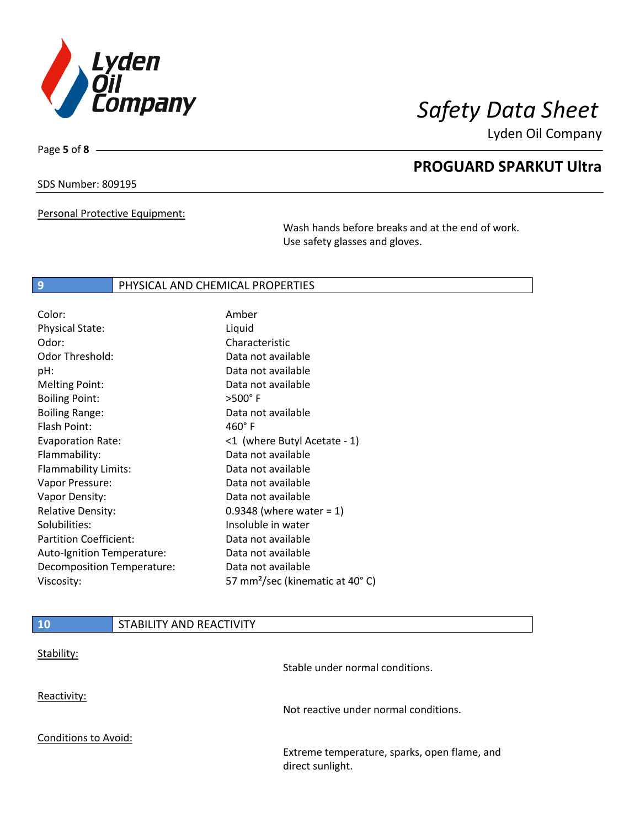

Page **5** of **8**

## **PROGUARD SPARKUT Ultra**

SDS Number: 809195

Personal Protective Equipment:

Wash hands before breaks and at the end of work. Use safety glasses and gloves.

### **9 PHYSICAL AND CHEMICAL PROPERTIES**

| Color:                        | Amber                                       |
|-------------------------------|---------------------------------------------|
| <b>Physical State:</b>        | Liquid                                      |
| Odor:                         | Characteristic                              |
| <b>Odor Threshold:</b>        | Data not available                          |
| pH:                           | Data not available                          |
| <b>Melting Point:</b>         | Data not available                          |
| <b>Boiling Point:</b>         | $>500^\circ$ F                              |
| <b>Boiling Range:</b>         | Data not available                          |
| Flash Point:                  | $460^\circ$ F                               |
| <b>Evaporation Rate:</b>      | <1 (where Butyl Acetate - 1)                |
| Flammability:                 | Data not available                          |
| Flammability Limits:          | Data not available                          |
| Vapor Pressure:               | Data not available                          |
| Vapor Density:                | Data not available                          |
| <b>Relative Density:</b>      | 0.9348 (where water = $1$ )                 |
| Solubilities:                 | Insoluble in water                          |
| <b>Partition Coefficient:</b> | Data not available                          |
| Auto-Ignition Temperature:    | Data not available                          |
| Decomposition Temperature:    | Data not available                          |
| Viscosity:                    | 57 mm <sup>2</sup> /sec (kinematic at 40°C) |

| <b>10</b>                   | STABILITY AND REACTIVITY |                                                                  |
|-----------------------------|--------------------------|------------------------------------------------------------------|
| Stability:                  |                          | Stable under normal conditions.                                  |
| Reactivity:                 |                          | Not reactive under normal conditions.                            |
| <b>Conditions to Avoid:</b> |                          | Extreme temperature, sparks, open flame, and<br>direct sunlight. |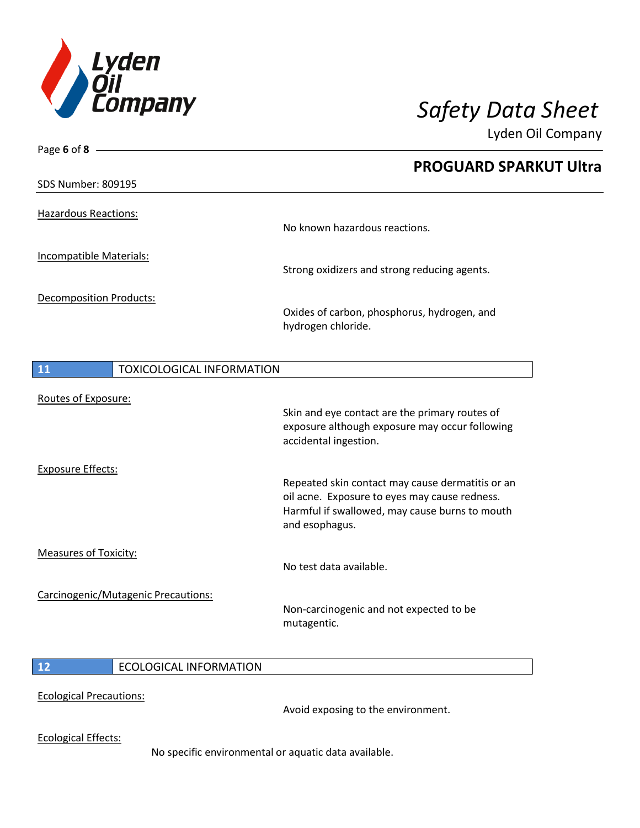

| Page 6 of 8 $-$                |                                     |                                                                                                                                                                       |
|--------------------------------|-------------------------------------|-----------------------------------------------------------------------------------------------------------------------------------------------------------------------|
|                                |                                     | <b>PROGUARD SPARKUT Ultra</b>                                                                                                                                         |
| <b>SDS Number: 809195</b>      |                                     |                                                                                                                                                                       |
| <b>Hazardous Reactions:</b>    |                                     | No known hazardous reactions.                                                                                                                                         |
| Incompatible Materials:        |                                     | Strong oxidizers and strong reducing agents.                                                                                                                          |
| <b>Decomposition Products:</b> |                                     | Oxides of carbon, phosphorus, hydrogen, and<br>hydrogen chloride.                                                                                                     |
| 11                             | <b>TOXICOLOGICAL INFORMATION</b>    |                                                                                                                                                                       |
| Routes of Exposure:            |                                     | Skin and eye contact are the primary routes of<br>exposure although exposure may occur following<br>accidental ingestion.                                             |
| <b>Exposure Effects:</b>       |                                     | Repeated skin contact may cause dermatitis or an<br>oil acne. Exposure to eyes may cause redness.<br>Harmful if swallowed, may cause burns to mouth<br>and esophagus. |
| <b>Measures of Toxicity:</b>   |                                     | No test data available.                                                                                                                                               |
|                                | Carcinogenic/Mutagenic Precautions: | Non-carcinogenic and not expected to be<br>mutagentic.                                                                                                                |
|                                |                                     |                                                                                                                                                                       |

### **12** ECOLOGICAL INFORMATION

### Ecological Precautions:

Avoid exposing to the environment.

Ecological Effects:

No specific environmental or aquatic data available.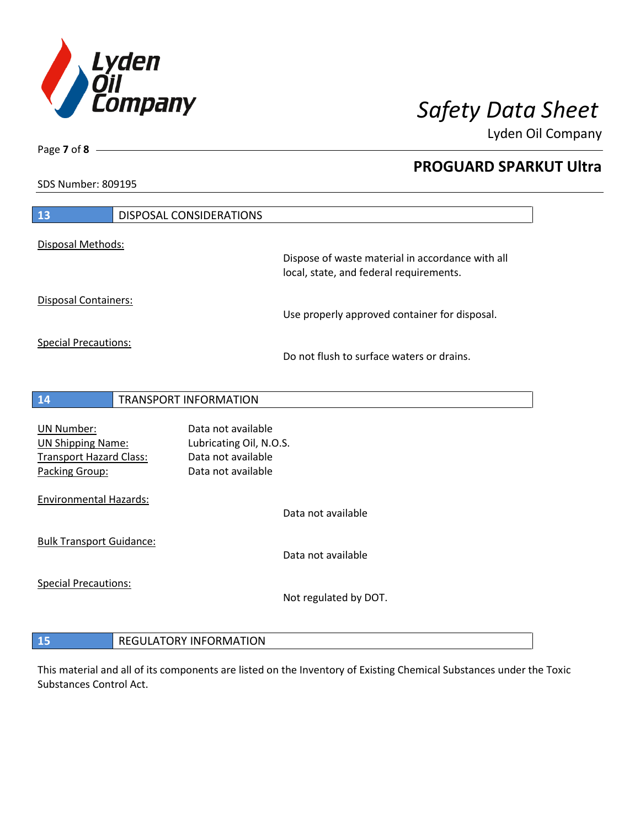

**PROGUARD SPARKUT Ultra**

Lyden Oil Company

SDS Number: 809195

Page **7** of **8**

| 13                                                                                                | <b>DISPOSAL CONSIDERATIONS</b>                                                            |                                                                                             |
|---------------------------------------------------------------------------------------------------|-------------------------------------------------------------------------------------------|---------------------------------------------------------------------------------------------|
|                                                                                                   |                                                                                           |                                                                                             |
| Disposal Methods:                                                                                 |                                                                                           | Dispose of waste material in accordance with all<br>local, state, and federal requirements. |
| <b>Disposal Containers:</b>                                                                       |                                                                                           | Use properly approved container for disposal.                                               |
| <b>Special Precautions:</b>                                                                       |                                                                                           | Do not flush to surface waters or drains.                                                   |
| 14                                                                                                | <b>TRANSPORT INFORMATION</b>                                                              |                                                                                             |
| <b>UN Number:</b><br><b>UN Shipping Name:</b><br><b>Transport Hazard Class:</b><br>Packing Group: | Data not available<br>Lubricating Oil, N.O.S.<br>Data not available<br>Data not available |                                                                                             |
| <b>Environmental Hazards:</b>                                                                     |                                                                                           | Data not available                                                                          |
| <b>Bulk Transport Guidance:</b>                                                                   |                                                                                           | Data not available                                                                          |
| <b>Special Precautions:</b>                                                                       |                                                                                           | Not regulated by DOT.                                                                       |
| 15                                                                                                | <b>REGULATORY INFORMATION</b>                                                             |                                                                                             |

This material and all of its components are listed on the Inventory of Existing Chemical Substances under the Toxic Substances Control Act.